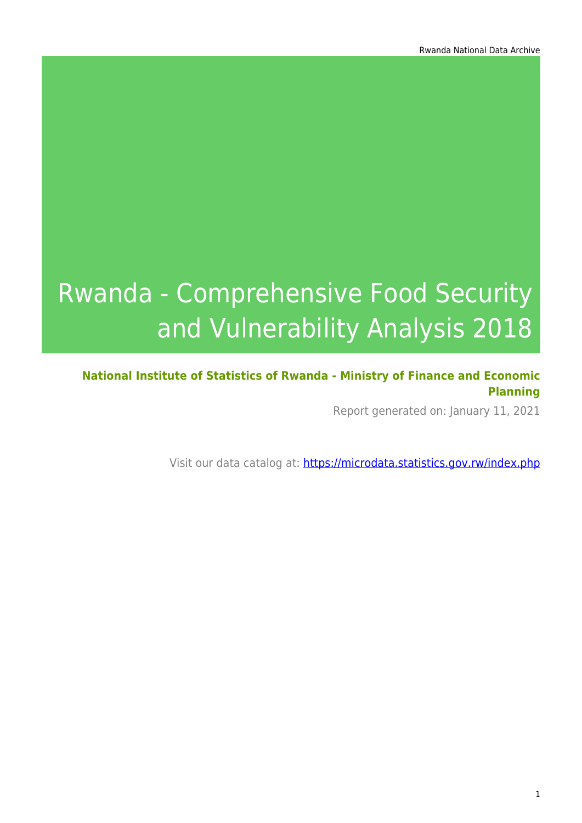# Rwanda - Comprehensive Food Security and Vulnerability Analysis 2018

#### **National Institute of Statistics of Rwanda - Ministry of Finance and Economic Planning**

Report generated on: January 11, 2021

Visit our data catalog at: https://microdata.statistics.gov.rw/index.php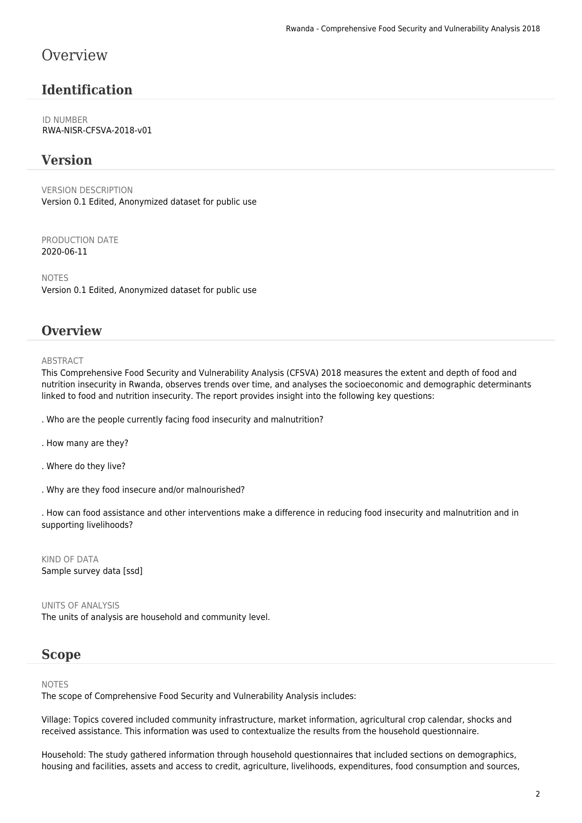### **Overview**

### **Identification**

ID NUMBER RWA-NISR-CFSVA-2018-v01

#### **Version**

VERSION DESCRIPTION Version 0.1 Edited, Anonymized dataset for public use

PRODUCTION DATE 2020-06-11

NOTES Version 0.1 Edited, Anonymized dataset for public use

#### **Overview**

#### **ABSTRACT**

This Comprehensive Food Security and Vulnerability Analysis (CFSVA) 2018 measures the extent and depth of food and nutrition insecurity in Rwanda, observes trends over time, and analyses the socioeconomic and demographic determinants linked to food and nutrition insecurity. The report provides insight into the following key questions:

- . Who are the people currently facing food insecurity and malnutrition?
- . How many are they?
- . Where do they live?
- . Why are they food insecure and/or malnourished?

. How can food assistance and other interventions make a difference in reducing food insecurity and malnutrition and in supporting livelihoods?

KIND OF DATA Sample survey data [ssd]

UNITS OF ANALYSIS The units of analysis are household and community level.

#### **Scope**

#### NOTES

The scope of Comprehensive Food Security and Vulnerability Analysis includes:

Village: Topics covered included community infrastructure, market information, agricultural crop calendar, shocks and received assistance. This information was used to contextualize the results from the household questionnaire.

Household: The study gathered information through household questionnaires that included sections on demographics, housing and facilities, assets and access to credit, agriculture, livelihoods, expenditures, food consumption and sources,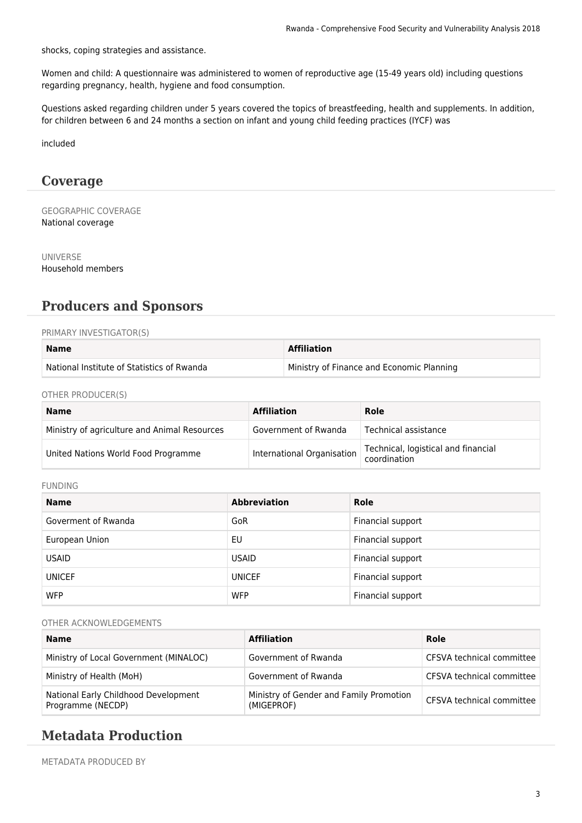shocks, coping strategies and assistance.

Women and child: A questionnaire was administered to women of reproductive age (15-49 years old) including questions regarding pregnancy, health, hygiene and food consumption.

Questions asked regarding children under 5 years covered the topics of breastfeeding, health and supplements. In addition, for children between 6 and 24 months a section on infant and young child feeding practices (IYCF) was

included

#### **Coverage**

GEOGRAPHIC COVERAGE National coverage

UNIVERSE Household members

### **Producers and Sponsors**

#### PRIMARY INVESTIGATOR(S)

| <b>Name</b>                                | <b>Affiliation</b>                        |
|--------------------------------------------|-------------------------------------------|
| National Institute of Statistics of Rwanda | Ministry of Finance and Economic Planning |

OTHER PRODUCER(S)

| <b>Name</b>                                  | <b>Affiliation</b>         | Role                                                |
|----------------------------------------------|----------------------------|-----------------------------------------------------|
| Ministry of agriculture and Animal Resources | Government of Rwanda       | Technical assistance                                |
| United Nations World Food Programme          | International Organisation | Technical, logistical and financial<br>coordination |

#### FUNDING

| <b>Name</b>         | <b>Abbreviation</b> | Role              |
|---------------------|---------------------|-------------------|
| Goverment of Rwanda | GoR                 | Financial support |
| European Union      | EU                  | Financial support |
| <b>USAID</b>        | <b>USAID</b>        | Financial support |
| <b>UNICEF</b>       | <b>UNICEF</b>       | Financial support |
| <b>WFP</b>          | <b>WFP</b>          | Financial support |

#### OTHER ACKNOWLEDGEMENTS

| <b>Name</b>                                               | <b>Affiliation</b>                                    | Role                      |
|-----------------------------------------------------------|-------------------------------------------------------|---------------------------|
| Ministry of Local Government (MINALOC)                    | Government of Rwanda                                  | CFSVA technical committee |
| Ministry of Health (MoH)                                  | Government of Rwanda                                  | CFSVA technical committee |
| National Early Childhood Development<br>Programme (NECDP) | Ministry of Gender and Family Promotion<br>(MIGEPROF) | CFSVA technical committee |

#### **Metadata Production**

METADATA PRODUCED BY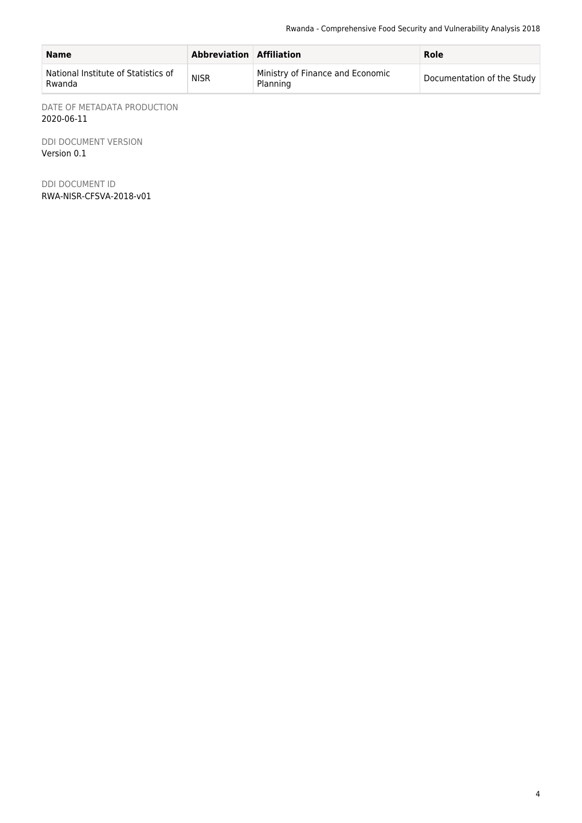| <b>Name</b>                                   | Abbreviation Affiliation |                                              | Role                       |
|-----------------------------------------------|--------------------------|----------------------------------------------|----------------------------|
| National Institute of Statistics of<br>Rwanda | <b>NISR</b>              | Ministry of Finance and Economic<br>Planning | Documentation of the Study |

DATE OF METADATA PRODUCTION 2020-06-11

DDI DOCUMENT VERSION Version 0.1

DDI DOCUMENT ID RWA-NISR-CFSVA-2018-v01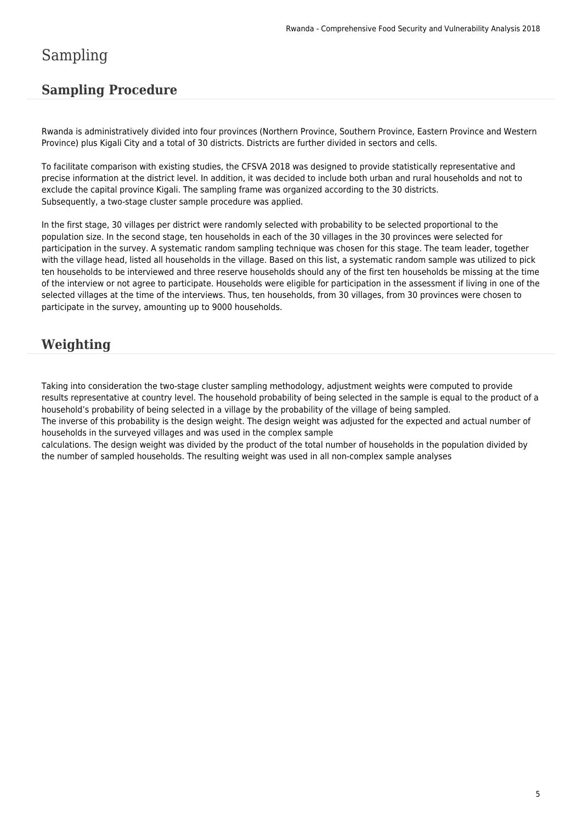# Sampling

### **Sampling Procedure**

Rwanda is administratively divided into four provinces (Northern Province, Southern Province, Eastern Province and Western Province) plus Kigali City and a total of 30 districts. Districts are further divided in sectors and cells.

To facilitate comparison with existing studies, the CFSVA 2018 was designed to provide statistically representative and precise information at the district level. In addition, it was decided to include both urban and rural households and not to exclude the capital province Kigali. The sampling frame was organized according to the 30 districts. Subsequently, a two-stage cluster sample procedure was applied.

In the first stage, 30 villages per district were randomly selected with probability to be selected proportional to the population size. In the second stage, ten households in each of the 30 villages in the 30 provinces were selected for participation in the survey. A systematic random sampling technique was chosen for this stage. The team leader, together with the village head, listed all households in the village. Based on this list, a systematic random sample was utilized to pick ten households to be interviewed and three reserve households should any of the first ten households be missing at the time of the interview or not agree to participate. Households were eligible for participation in the assessment if living in one of the selected villages at the time of the interviews. Thus, ten households, from 30 villages, from 30 provinces were chosen to participate in the survey, amounting up to 9000 households.

### **Weighting**

Taking into consideration the two-stage cluster sampling methodology, adjustment weights were computed to provide results representative at country level. The household probability of being selected in the sample is equal to the product of a household's probability of being selected in a village by the probability of the village of being sampled.

The inverse of this probability is the design weight. The design weight was adjusted for the expected and actual number of households in the surveyed villages and was used in the complex sample

calculations. The design weight was divided by the product of the total number of households in the population divided by the number of sampled households. The resulting weight was used in all non-complex sample analyses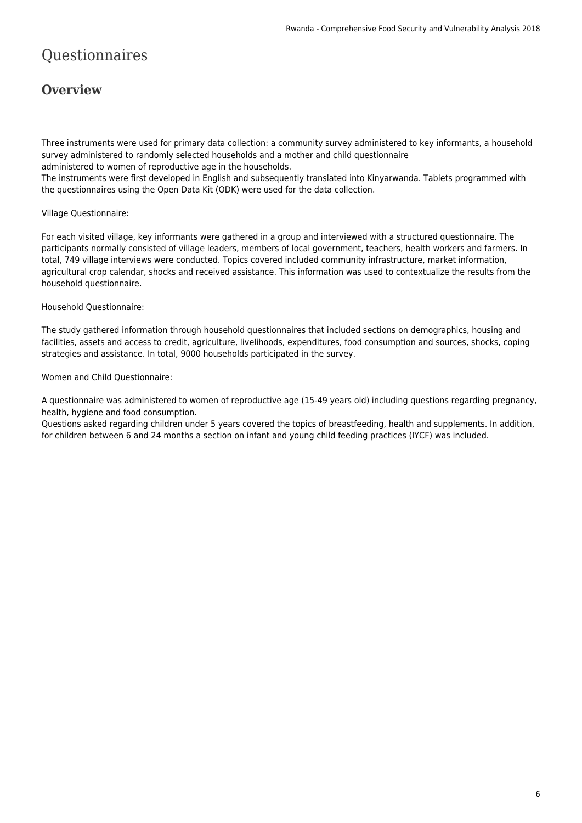# Questionnaires

#### **Overview**

Three instruments were used for primary data collection: a community survey administered to key informants, a household survey administered to randomly selected households and a mother and child questionnaire administered to women of reproductive age in the households. The instruments were first developed in English and subsequently translated into Kinyarwanda. Tablets programmed with the questionnaires using the Open Data Kit (ODK) were used for the data collection.

#### Village Questionnaire:

For each visited village, key informants were gathered in a group and interviewed with a structured questionnaire. The participants normally consisted of village leaders, members of local government, teachers, health workers and farmers. In total, 749 village interviews were conducted. Topics covered included community infrastructure, market information, agricultural crop calendar, shocks and received assistance. This information was used to contextualize the results from the household questionnaire.

Household Questionnaire:

The study gathered information through household questionnaires that included sections on demographics, housing and facilities, assets and access to credit, agriculture, livelihoods, expenditures, food consumption and sources, shocks, coping strategies and assistance. In total, 9000 households participated in the survey.

Women and Child Questionnaire:

A questionnaire was administered to women of reproductive age (15-49 years old) including questions regarding pregnancy, health, hygiene and food consumption.

Questions asked regarding children under 5 years covered the topics of breastfeeding, health and supplements. In addition, for children between 6 and 24 months a section on infant and young child feeding practices (IYCF) was included.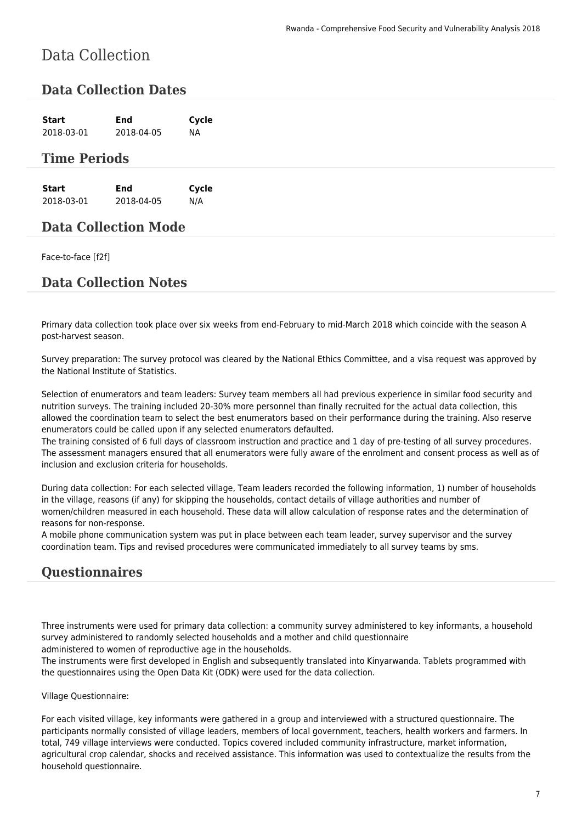# Data Collection

#### **Data Collection Dates**

| Start      | End        | Cycle |
|------------|------------|-------|
| 2018-03-01 | 2018-04-05 | NА    |

#### **Time Periods**

| Start      | End        | Cycle |
|------------|------------|-------|
| 2018-03-01 | 2018-04-05 | N/A   |

#### **Data Collection Mode**

#### Face-to-face [f2f]

#### **Data Collection Notes**

Primary data collection took place over six weeks from end-February to mid-March 2018 which coincide with the season A post-harvest season.

Survey preparation: The survey protocol was cleared by the National Ethics Committee, and a visa request was approved by the National Institute of Statistics.

Selection of enumerators and team leaders: Survey team members all had previous experience in similar food security and nutrition surveys. The training included 20-30% more personnel than finally recruited for the actual data collection, this allowed the coordination team to select the best enumerators based on their performance during the training. Also reserve enumerators could be called upon if any selected enumerators defaulted.

The training consisted of 6 full days of classroom instruction and practice and 1 day of pre-testing of all survey procedures. The assessment managers ensured that all enumerators were fully aware of the enrolment and consent process as well as of inclusion and exclusion criteria for households.

During data collection: For each selected village, Team leaders recorded the following information, 1) number of households in the village, reasons (if any) for skipping the households, contact details of village authorities and number of women/children measured in each household. These data will allow calculation of response rates and the determination of reasons for non-response.

A mobile phone communication system was put in place between each team leader, survey supervisor and the survey coordination team. Tips and revised procedures were communicated immediately to all survey teams by sms.

#### **Questionnaires**

Three instruments were used for primary data collection: a community survey administered to key informants, a household survey administered to randomly selected households and a mother and child questionnaire

administered to women of reproductive age in the households.

The instruments were first developed in English and subsequently translated into Kinyarwanda. Tablets programmed with the questionnaires using the Open Data Kit (ODK) were used for the data collection.

Village Questionnaire:

For each visited village, key informants were gathered in a group and interviewed with a structured questionnaire. The participants normally consisted of village leaders, members of local government, teachers, health workers and farmers. In total, 749 village interviews were conducted. Topics covered included community infrastructure, market information, agricultural crop calendar, shocks and received assistance. This information was used to contextualize the results from the household questionnaire.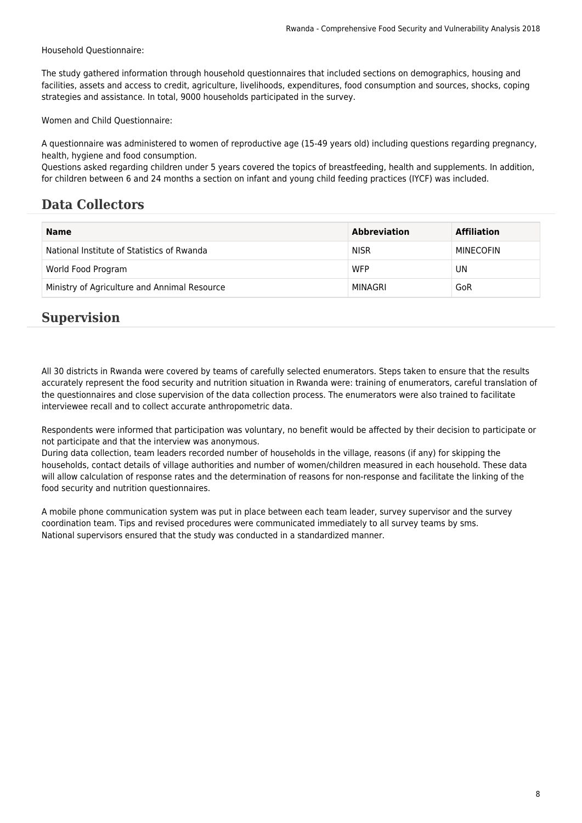Household Questionnaire:

The study gathered information through household questionnaires that included sections on demographics, housing and facilities, assets and access to credit, agriculture, livelihoods, expenditures, food consumption and sources, shocks, coping strategies and assistance. In total, 9000 households participated in the survey.

Women and Child Questionnaire:

A questionnaire was administered to women of reproductive age (15-49 years old) including questions regarding pregnancy, health, hygiene and food consumption.

Questions asked regarding children under 5 years covered the topics of breastfeeding, health and supplements. In addition, for children between 6 and 24 months a section on infant and young child feeding practices (IYCF) was included.

### **Data Collectors**

| <b>Name</b>                                  | <b>Abbreviation</b> | <b>Affiliation</b> |
|----------------------------------------------|---------------------|--------------------|
| National Institute of Statistics of Rwanda   | <b>NISR</b>         | MINECOFIN          |
| World Food Program                           | <b>WFP</b>          | UN                 |
| Ministry of Agriculture and Annimal Resource | MINAGRI             | GoR                |

### **Supervision**

All 30 districts in Rwanda were covered by teams of carefully selected enumerators. Steps taken to ensure that the results accurately represent the food security and nutrition situation in Rwanda were: training of enumerators, careful translation of the questionnaires and close supervision of the data collection process. The enumerators were also trained to facilitate interviewee recall and to collect accurate anthropometric data.

Respondents were informed that participation was voluntary, no benefit would be affected by their decision to participate or not participate and that the interview was anonymous.

During data collection, team leaders recorded number of households in the village, reasons (if any) for skipping the households, contact details of village authorities and number of women/children measured in each household. These data will allow calculation of response rates and the determination of reasons for non-response and facilitate the linking of the food security and nutrition questionnaires.

A mobile phone communication system was put in place between each team leader, survey supervisor and the survey coordination team. Tips and revised procedures were communicated immediately to all survey teams by sms. National supervisors ensured that the study was conducted in a standardized manner.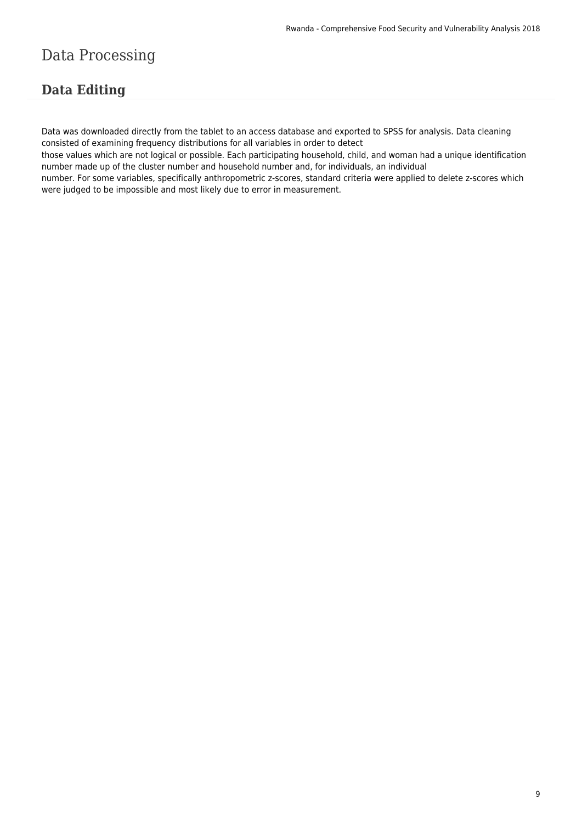# Data Processing

### **Data Editing**

Data was downloaded directly from the tablet to an access database and exported to SPSS for analysis. Data cleaning consisted of examining frequency distributions for all variables in order to detect

those values which are not logical or possible. Each participating household, child, and woman had a unique identification number made up of the cluster number and household number and, for individuals, an individual

number. For some variables, specifically anthropometric z-scores, standard criteria were applied to delete z-scores which were judged to be impossible and most likely due to error in measurement.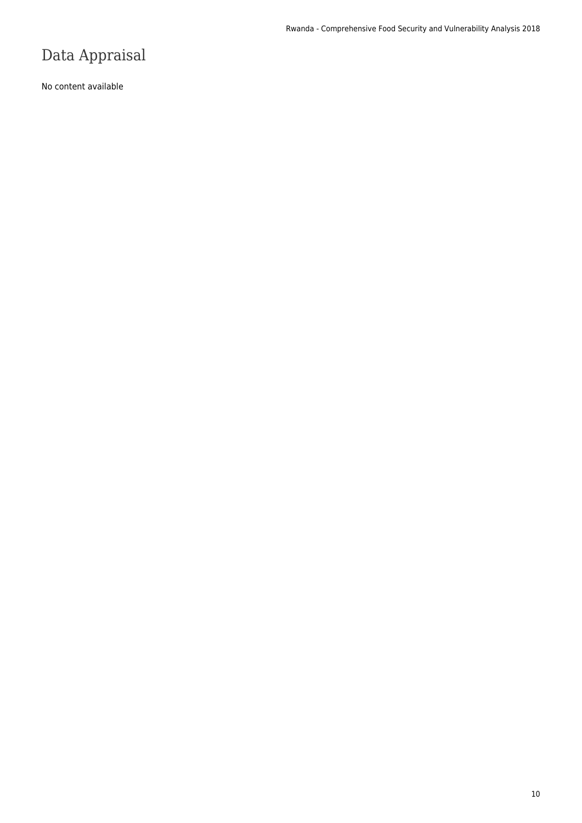# Data Appraisal

No content available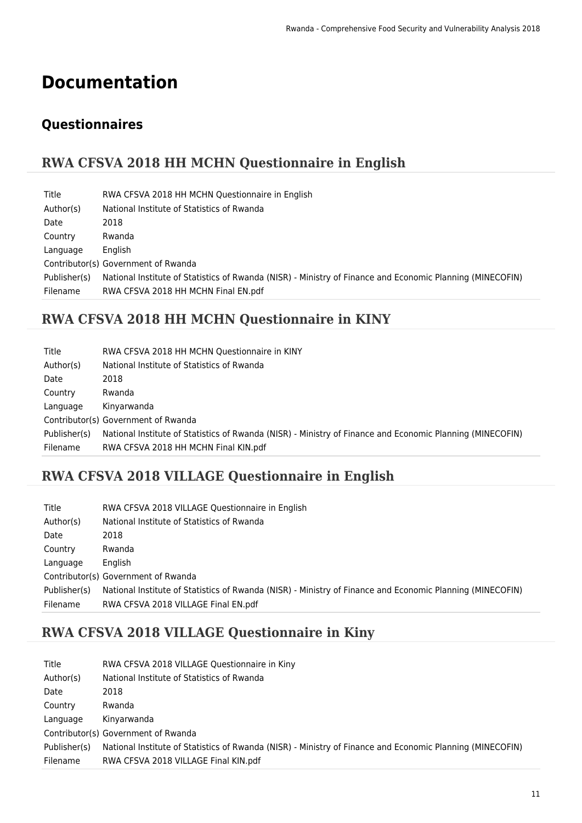# **Documentation**

## **Questionnaires**

### **RWA CFSVA 2018 HH MCHN Questionnaire in English**

| Title        | RWA CFSVA 2018 HH MCHN Questionnaire in English                                                           |
|--------------|-----------------------------------------------------------------------------------------------------------|
| Author(s)    | National Institute of Statistics of Rwanda                                                                |
| Date         | 2018                                                                                                      |
| Country      | Rwanda                                                                                                    |
| Language     | English                                                                                                   |
|              | Contributor(s) Government of Rwanda                                                                       |
| Publisher(s) | National Institute of Statistics of Rwanda (NISR) - Ministry of Finance and Economic Planning (MINECOFIN) |
| Filename     | RWA CFSVA 2018 HH MCHN Final EN.pdf                                                                       |

## **RWA CFSVA 2018 HH MCHN Questionnaire in KINY**

| Title        | RWA CFSVA 2018 HH MCHN Questionnaire in KINY                                                              |
|--------------|-----------------------------------------------------------------------------------------------------------|
| Author(s)    | National Institute of Statistics of Rwanda                                                                |
| Date         | 2018                                                                                                      |
| Country      | Rwanda                                                                                                    |
| Language     | Kinyarwanda                                                                                               |
|              | Contributor(s) Government of Rwanda                                                                       |
| Publisher(s) | National Institute of Statistics of Rwanda (NISR) - Ministry of Finance and Economic Planning (MINECOFIN) |
| Filename     | RWA CFSVA 2018 HH MCHN Final KIN.pdf                                                                      |

### **RWA CFSVA 2018 VILLAGE Questionnaire in English**

| Title        | RWA CFSVA 2018 VILLAGE Questionnaire in English                                                           |
|--------------|-----------------------------------------------------------------------------------------------------------|
| Author(s)    | National Institute of Statistics of Rwanda                                                                |
| Date         | 2018                                                                                                      |
| Country      | Rwanda                                                                                                    |
| Language     | English                                                                                                   |
|              | Contributor(s) Government of Rwanda                                                                       |
| Publisher(s) | National Institute of Statistics of Rwanda (NISR) - Ministry of Finance and Economic Planning (MINECOFIN) |
| Filename     | RWA CFSVA 2018 VILLAGE Final EN.pdf                                                                       |

### **RWA CFSVA 2018 VILLAGE Questionnaire in Kiny**

| Title        | RWA CFSVA 2018 VILLAGE Questionnaire in Kiny                                                              |
|--------------|-----------------------------------------------------------------------------------------------------------|
| Author(s)    | National Institute of Statistics of Rwanda                                                                |
| Date         | 2018                                                                                                      |
| Country      | Rwanda                                                                                                    |
| Language     | Kinyarwanda                                                                                               |
|              | Contributor(s) Government of Rwanda                                                                       |
| Publisher(s) | National Institute of Statistics of Rwanda (NISR) - Ministry of Finance and Economic Planning (MINECOFIN) |
| Filename     | RWA CFSVA 2018 VILLAGE Final KIN.pdf                                                                      |